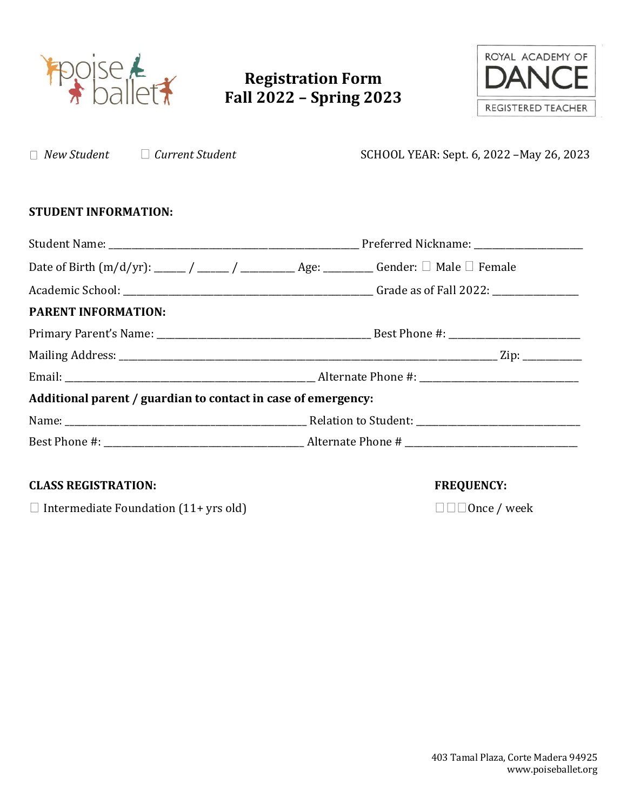

## **Registration Form Fall 2022 – Spring 2023**

*New Student Current Student* SCHOOL YEAR: Sept. 6, 2022 –May 26, 2023



| <b>STUDENT INFORMATION:</b>                                   |  |  |  |
|---------------------------------------------------------------|--|--|--|
|                                                               |  |  |  |
|                                                               |  |  |  |
|                                                               |  |  |  |
| <b>PARENT INFORMATION:</b>                                    |  |  |  |
|                                                               |  |  |  |
|                                                               |  |  |  |
|                                                               |  |  |  |
| Additional parent / guardian to contact in case of emergency: |  |  |  |
|                                                               |  |  |  |
|                                                               |  |  |  |

## **CLASS REGISTRATION: FREQUENCY:**

Intermediate Foundation (11+ yrs old) Once / week